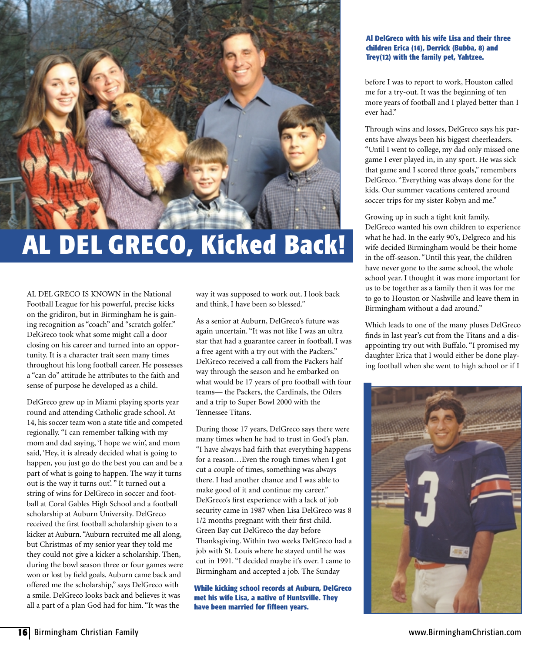

## **AL DEL GRECO, Kicked Back!**

AL DEL GRECO IS KNOWN in the National Football League for his powerful, precise kicks on the gridiron, but in Birmingham he is gaining recognition as "coach" and "scratch golfer." DelGreco took what some might call a door closing on his career and turned into an opportunity. It is a character trait seen many times throughout his long football career. He possesses a "can do" attitude he attributes to the faith and sense of purpose he developed as a child.

DelGreco grew up in Miami playing sports year round and attending Catholic grade school. At 14, his soccer team won a state title and competed regionally. "I can remember talking with my mom and dad saying, 'I hope we win', and mom said, 'Hey, it is already decided what is going to happen, you just go do the best you can and be a part of what is going to happen. The way it turns out is the way it turns out'. " It turned out a string of wins for DelGreco in soccer and football at Coral Gables High School and a football scholarship at Auburn University. DelGreco received the first football scholarship given to a kicker at Auburn. "Auburn recruited me all along, but Christmas of my senior year they told me they could not give a kicker a scholarship. Then, during the bowl season three or four games were won or lost by field goals. Auburn came back and offered me the scholarship," says DelGreco with a smile. DelGreco looks back and believes it was all a part of a plan God had for him. "It was the

way it was supposed to work out. I look back and think, I have been so blessed."

As a senior at Auburn, DelGreco's future was again uncertain. "It was not like I was an ultra star that had a guarantee career in football. I was a free agent with a try out with the Packers." DelGreco received a call from the Packers half way through the season and he embarked on what would be 17 years of pro football with four teams— the Packers, the Cardinals, the Oilers and a trip to Super Bowl 2000 with the Tennessee Titans.

During those 17 years, DelGreco says there were many times when he had to trust in God's plan. "I have always had faith that everything happens for a reason…Even the rough times when I got cut a couple of times, something was always there. I had another chance and I was able to make good of it and continue my career." DelGreco's first experience with a lack of job security came in 1987 when Lisa DelGreco was 8 1/2 months pregnant with their first child. Green Bay cut DelGreco the day before Thanksgiving. Within two weeks DelGreco had a job with St. Louis where he stayed until he was cut in 1991. "I decided maybe it's over. I came to Birmingham and accepted a job. The Sunday

**While kicking school records at Auburn, DelGreco met his wife Lisa, a native of Huntsville. They have been married for fifteen years.**

## **Al DelGreco with his wife Lisa and their three children Erica (14), Derrick (Bubba, 8) and Trey(12) with the family pet, Yahtzee.**

before I was to report to work, Houston called me for a try-out. It was the beginning of ten more years of football and I played better than I ever had."

Through wins and losses, DelGreco says his parents have always been his biggest cheerleaders. "Until I went to college, my dad only missed one game I ever played in, in any sport. He was sick that game and I scored three goals," remembers DelGreco. "Everything was always done for the kids. Our summer vacations centered around soccer trips for my sister Robyn and me."

Growing up in such a tight knit family, DelGreco wanted his own children to experience what he had. In the early 90's, Delgreco and his wife decided Birmingham would be their home in the off-season. "Until this year, the children have never gone to the same school, the whole school year. I thought it was more important for us to be together as a family then it was for me to go to Houston or Nashville and leave them in Birmingham without a dad around."

Which leads to one of the many pluses DelGreco finds in last year's cut from the Titans and a disappointing try out with Buffalo. "I promised my daughter Erica that I would either be done playing football when she went to high school or if I